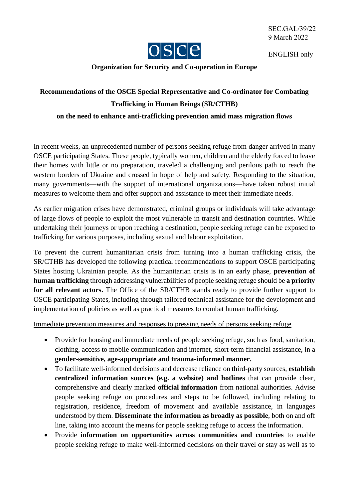

ENGLISH only

## **Organization for Security and Co-operation in Europe**

## **Recommendations of the OSCE Special Representative and Co-ordinator for Combating Trafficking in Human Beings (SR/CTHB) on the need to enhance anti-trafficking prevention amid mass migration flows**

In recent weeks, an unprecedented number of persons seeking refuge from danger arrived in many OSCE participating States. These people, typically women, children and the elderly forced to leave their homes with little or no preparation, traveled a challenging and perilous path to reach the western borders of Ukraine and crossed in hope of help and safety. Responding to the situation, many governments—with the support of international organizations—have taken robust initial measures to welcome them and offer support and assistance to meet their immediate needs.

As earlier migration crises have demonstrated, criminal groups or individuals will take advantage of large flows of people to exploit the most vulnerable in transit and destination countries. While undertaking their journeys or upon reaching a destination, people seeking refuge can be exposed to trafficking for various purposes, including sexual and labour exploitation.

To prevent the current humanitarian crisis from turning into a human trafficking crisis, the SR/CTHB has developed the following practical recommendations to support OSCE participating States hosting Ukrainian people. As the humanitarian crisis is in an early phase, **prevention of human trafficking** through addressing vulnerabilities of people seeking refuge should be **a priority**  for all relevant actors. The Office of the SR/CTHB stands ready to provide further support to OSCE participating States, including through tailored technical assistance for the development and implementation of policies as well as practical measures to combat human trafficking.

Immediate prevention measures and responses to pressing needs of persons seeking refuge

- Provide for housing and immediate needs of people seeking refuge, such as food, sanitation, clothing, access to mobile communication and internet, short-term financial assistance, in a **gender-sensitive, age-appropriate and trauma-informed manner.**
- To facilitate well-informed decisions and decrease reliance on third-party sources, **establish centralized information sources (e.g. a website) and hotlines** that can provide clear, comprehensive and clearly marked **official information** from national authorities. Advise people seeking refuge on procedures and steps to be followed, including relating to registration, residence, freedom of movement and available assistance, in languages understood by them. **Disseminate the information as broadly as possible**, both on and off line, taking into account the means for people seeking refuge to access the information.
- Provide **information on opportunities across communities and countries** to enable people seeking refuge to make well-informed decisions on their travel or stay as well as to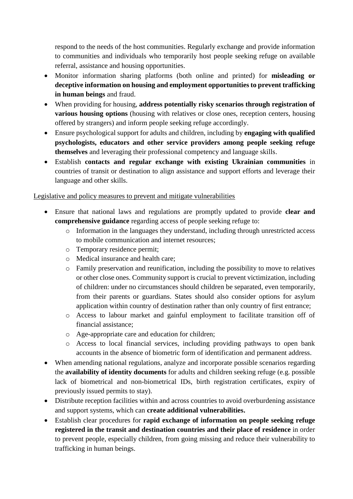respond to the needs of the host communities. Regularly exchange and provide information to communities and individuals who temporarily host people seeking refuge on available referral, assistance and housing opportunities.

- Monitor information sharing platforms (both online and printed) for **misleading or deceptive information on housing and employment opportunities to prevent trafficking in human beings** and fraud.
- When providing for housing, **address potentially risky scenarios through registration of various housing options** (housing with relatives or close ones, reception centers, housing offered by strangers) and inform people seeking refuge accordingly.
- Ensure psychological support for adults and children, including by **engaging with qualified psychologists, educators and other service providers among people seeking refuge themselves** and leveraging their professional competency and language skills.
- Establish **contacts and regular exchange with existing Ukrainian communities** in countries of transit or destination to align assistance and support efforts and leverage their language and other skills.

## Legislative and policy measures to prevent and mitigate vulnerabilities

- Ensure that national laws and regulations are promptly updated to provide **clear and comprehensive guidance** regarding access of people seeking refuge to:
	- o Information in the languages they understand, including through unrestricted access to mobile communication and internet resources;
	- o Temporary residence permit;
	- o Medical insurance and health care;
	- o Family preservation and reunification, including the possibility to move to relatives or other close ones. Community support is crucial to prevent victimization, including of children: under no circumstances should children be separated, even temporarily, from their parents or guardians. States should also consider options for asylum application within country of destination rather than only country of first entrance;
	- o Access to labour market and gainful employment to facilitate transition off of financial assistance;
	- o Age-appropriate care and education for children;
	- o Access to local financial services, including providing pathways to open bank accounts in the absence of biometric form of identification and permanent address.
- When amending national regulations, analyze and incorporate possible scenarios regarding the **availability of identity documents** for adults and children seeking refuge (e.g. possible lack of biometrical and non-biometrical IDs, birth registration certificates, expiry of previously issued permits to stay).
- Distribute reception facilities within and across countries to avoid overburdening assistance and support systems, which can **create additional vulnerabilities.**
- Establish clear procedures for **rapid exchange of information on people seeking refuge registered in the transit and destination countries and their place of residence** in order to prevent people, especially children, from going missing and reduce their vulnerability to trafficking in human beings.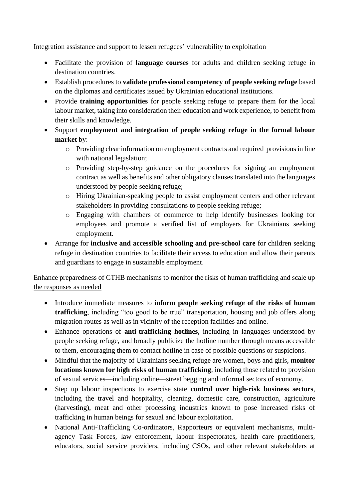## Integration assistance and support to lessen refugees' vulnerability to exploitation

- Facilitate the provision of **language courses** for adults and children seeking refuge in destination countries.
- Establish procedures to **validate professional competency of people seeking refuge** based on the diplomas and certificates issued by Ukrainian educational institutions.
- Provide **training opportunities** for people seeking refuge to prepare them for the local labour market, taking into consideration their education and work experience, to benefit from their skills and knowledge.
- Support **employment and integration of people seeking refuge in the formal labour market** by:
	- o Providing clear information on employment contracts and required provisions in line with national legislation;
	- o Providing step-by-step guidance on the procedures for signing an employment contract as well as benefits and other obligatory clauses translated into the languages understood by people seeking refuge;
	- o Hiring Ukrainian-speaking people to assist employment centers and other relevant stakeholders in providing consultations to people seeking refuge;
	- o Engaging with chambers of commerce to help identify businesses looking for employees and promote a verified list of employers for Ukrainians seeking employment.
- Arrange for **inclusive and accessible schooling and pre-school care** for children seeking refuge in destination countries to facilitate their access to education and allow their parents and guardians to engage in sustainable employment.

Enhance preparedness of CTHB mechanisms to monitor the risks of human trafficking and scale up the responses as needed

- Introduce immediate measures to **inform people seeking refuge of the risks of human trafficking**, including "too good to be true" transportation, housing and job offers along migration routes as well as in vicinity of the reception facilities and online.
- Enhance operations of **anti-trafficking hotlines**, including in languages understood by people seeking refuge, and broadly publicize the hotline number through means accessible to them, encouraging them to contact hotline in case of possible questions or suspicions.
- Mindful that the majority of Ukrainians seeking refuge are women, boys and girls, **monitor locations known for high risks of human trafficking**, including those related to provision of sexual services—including online—street begging and informal sectors of economy.
- Step up labour inspections to exercise state **control over high-risk business sectors**, including the travel and hospitality, cleaning, domestic care, construction, agriculture (harvesting), meat and other processing industries known to pose increased risks of trafficking in human beings for sexual and labour exploitation.
- National Anti-Trafficking Co-ordinators, Rapporteurs or equivalent mechanisms, multiagency Task Forces, law enforcement, labour inspectorates, health care practitioners, educators, social service providers, including CSOs, and other relevant stakeholders at